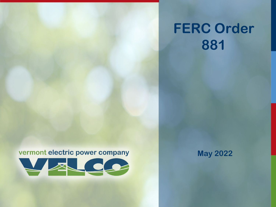# **FERC Order 881**

#### vermont electric power company



**May 2022**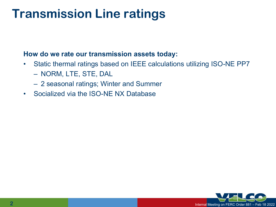#### **Transmission Line ratings**

#### **How do we rate our transmission assets today:**

- Static thermal ratings based on IEEE calculations utilizing ISO-NE PP7 – NORM, LTE, STE, DAL
	- 2 seasonal ratings; Winter and Summer
- Socialized via the ISO-NE NX Database

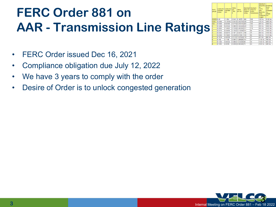## **FERC Order 881 on AAR - Transmission Line Ratings**

| <b>AWG</b><br>gauge | Conductor Conductor<br><b>Diameter</b><br><b>Inches</b> | <b>Diameter</b><br><b>Imm</b> | Ohms<br>per<br>1000<br>ft. | Ohms<br>per km      | Maximum Maximum<br>amps for<br>chassis<br>wiring | amps for<br>power<br>transmission | Maximum<br>frequency Breaking<br>for<br>100%<br><b>skin</b><br>depth for<br>solid<br>conductor PSI<br>copper | force<br>Soft<br>Annealed<br>lCu<br>37000 |
|---------------------|---------------------------------------------------------|-------------------------------|----------------------------|---------------------|--------------------------------------------------|-----------------------------------|--------------------------------------------------------------------------------------------------------------|-------------------------------------------|
| 0000 0.46           |                                                         | 11.684                        | 0.049                      | 0.16072             | 380                                              | 302                               | 125 Hz                                                                                                       | 6120 lbs                                  |
| 000                 | 0.4096                                                  | 10.40384                      |                            | 0.0618 0.202704 328 |                                                  | 239                               | 160 Hz                                                                                                       | 4860 lbs                                  |
| OO                  | 0.3648                                                  | 9.26592                       |                            | 0.0779 0.255512 283 |                                                  | 190                               | 200 Hz                                                                                                       | 3860 lbs                                  |
|                     | 0.3249                                                  | 8.25246                       |                            | 0.0983 0.322424 245 |                                                  | 150                               | 250 Hz                                                                                                       | 3060 lbs                                  |
|                     | 0.2893                                                  | 7.34822                       |                            | 0.1239 0.406392 211 |                                                  | 119                               | 325 Hz                                                                                                       | 2430 lbs                                  |
| 2                   | 0.2576                                                  | 6.54304                       |                            | 0.1563 0.512664 181 |                                                  | 94                                | 410 Hz                                                                                                       | 1930 lbs                                  |
|                     | 0.2294                                                  | 5.82676                       | 0.197                      | 0.64616             | 158                                              | 75                                | 500 Hz                                                                                                       | 1530 lbs                                  |
| Δ                   | 0.2043                                                  | 5.18922                       |                            | 0.2485 0.81508      | 135                                              | 60                                | 650 Hz                                                                                                       | 1210 lbs                                  |
| 5                   | 0.1819                                                  | 4.62026                       |                            | 0.3133 1.027624 118 |                                                  | 47                                | 810 Hz                                                                                                       | 960 lbs                                   |
| 6                   | 0.162                                                   | 4.1148                        |                            | 0.3951 1.295928 101 |                                                  | 37                                | 1100 Hz                                                                                                      | <b>760 lbs</b>                            |
|                     | 0.1443                                                  | 3.66522                       |                            | 0.4982 1.634096 89  |                                                  | 30                                | 1300 Hz                                                                                                      | <b>605 lbs</b>                            |
| l8                  | 0.1285                                                  | 3.2639                        |                            | 0.6282 2.060496 73  |                                                  | 24                                | 1650 Hz                                                                                                      | 480 lbs                                   |

- FERC Order issued Dec 16, 2021
- Compliance obligation due July 12, 2022
- We have 3 years to comply with the order
- Desire of Order is to unlock congested generation

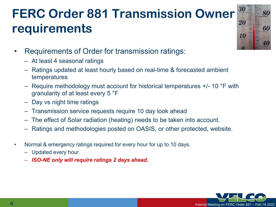### **FERC Order 881 Transmission Owner requirements**



- Requirements of Order for transmission ratings:
	- At least 4 seasonal ratings
	- Ratings updated at least hourly based on real-time & forecasted ambient temperatures
	- Require methodology must account for historical temperatures +/- 10 °F with granularity of at least every 5 °F
	- Day vs night time ratings
	- Transmission service requests require 10 day look ahead
	- The effect of Solar radiation (heating) needs to be taken into account.
	- Ratings and methodologies posted on OASIS, or other protected, website.
- Normal & emergency ratings required for every hour for up to 10 days.
	- Updated every hour.
	- *ISO-NE only will require ratings 2 days ahead.*